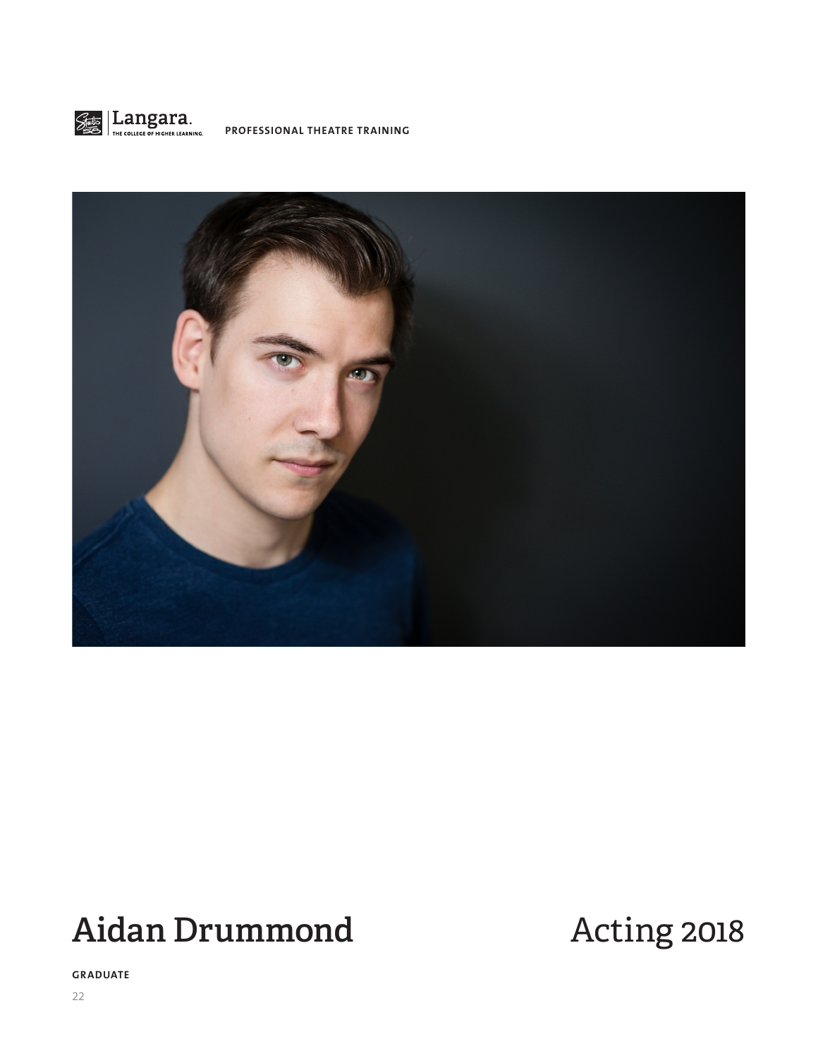



# Aidan Drummond Acting 2018

**GRADUATE**